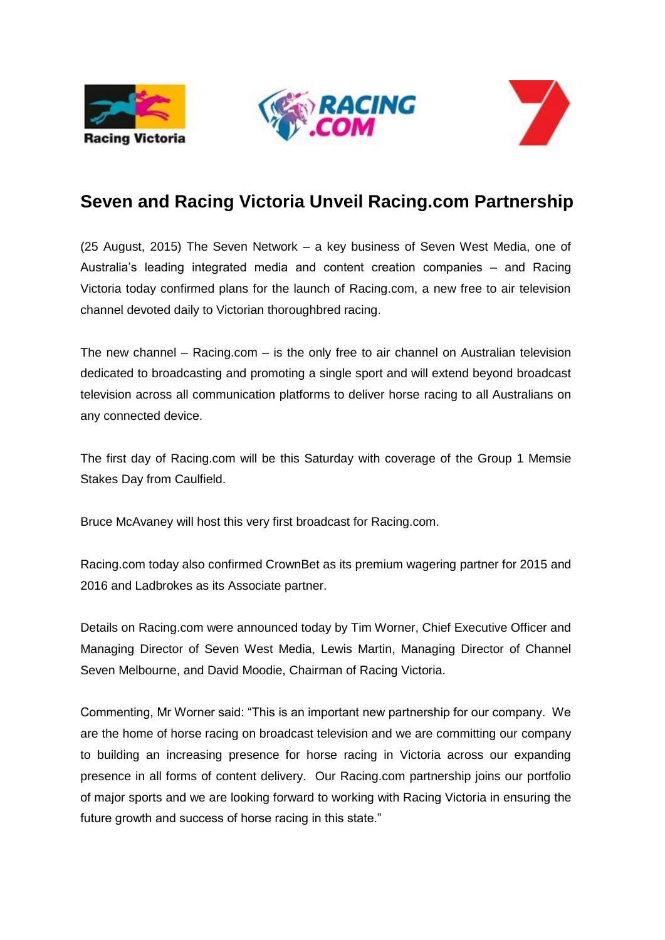





## **Seven and Racing Victoria Unveil Racing.com Partnership**

(25 August, 2015) The Seven Network – a key business of Seven West Media, one of Australia's leading integrated media and content creation companies – and Racing Victoria today confirmed plans for the launch of Racing.com, a new free to air television channel devoted daily to Victorian thoroughbred racing.

The new channel – Racing.com – is the only free to air channel on Australian television dedicated to broadcasting and promoting a single sport and will extend beyond broadcast television across all communication platforms to deliver horse racing to all Australians on any connected device.

The first day of Racing.com will be this Saturday with coverage of the Group 1 Memsie Stakes Day from Caulfield.

Bruce McAvaney will host this very first broadcast for Racing.com.

Racing.com today also confirmed CrownBet as its premium wagering partner for 2015 and 2016 and Ladbrokes as its Associate partner.

Details on Racing.com were announced today by Tim Worner, Chief Executive Officer and Managing Director of Seven West Media, Lewis Martin, Managing Director of Channel Seven Melbourne, and David Moodie, Chairman of Racing Victoria.

Commenting, Mr Worner said: "This is an important new partnership for our company. We are the home of horse racing on broadcast television and we are committing our company to building an increasing presence for horse racing in Victoria across our expanding presence in all forms of content delivery. Our Racing.com partnership joins our portfolio of major sports and we are looking forward to working with Racing Victoria in ensuring the future growth and success of horse racing in this state."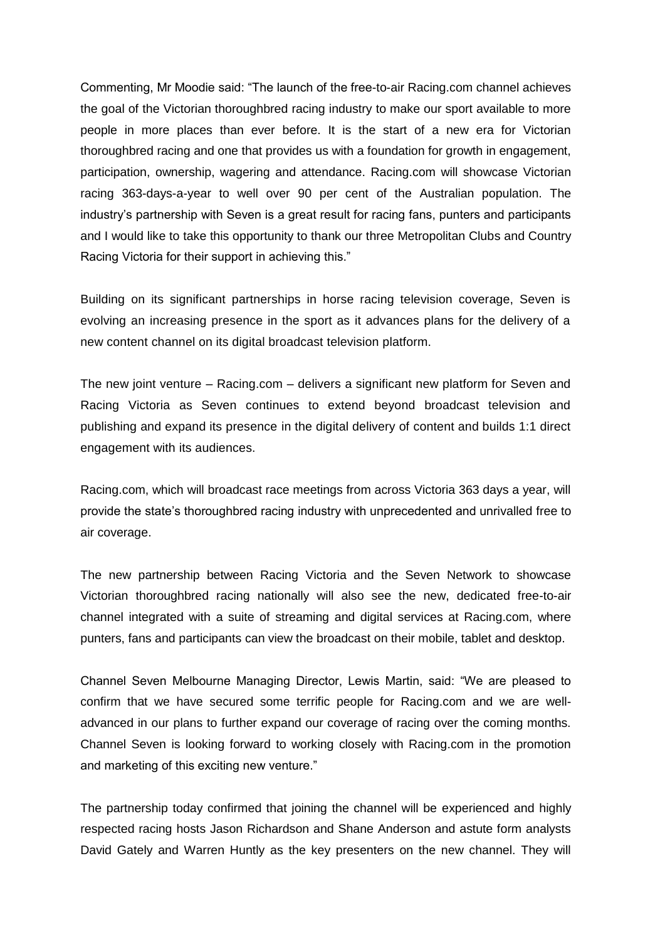Commenting, Mr Moodie said: "The launch of the free-to-air Racing.com channel achieves the goal of the Victorian thoroughbred racing industry to make our sport available to more people in more places than ever before. It is the start of a new era for Victorian thoroughbred racing and one that provides us with a foundation for growth in engagement, participation, ownership, wagering and attendance. Racing.com will showcase Victorian racing 363-days-a-year to well over 90 per cent of the Australian population. The industry's partnership with Seven is a great result for racing fans, punters and participants and I would like to take this opportunity to thank our three Metropolitan Clubs and Country Racing Victoria for their support in achieving this."

Building on its significant partnerships in horse racing television coverage, Seven is evolving an increasing presence in the sport as it advances plans for the delivery of a new content channel on its digital broadcast television platform.

The new joint venture – Racing.com – delivers a significant new platform for Seven and Racing Victoria as Seven continues to extend beyond broadcast television and publishing and expand its presence in the digital delivery of content and builds 1:1 direct engagement with its audiences.

Racing.com, which will broadcast race meetings from across Victoria 363 days a year, will provide the state's thoroughbred racing industry with unprecedented and unrivalled free to air coverage.

The new partnership between Racing Victoria and the Seven Network to showcase Victorian thoroughbred racing nationally will also see the new, dedicated free-to-air channel integrated with a suite of streaming and digital services at Racing.com, where punters, fans and participants can view the broadcast on their mobile, tablet and desktop.

Channel Seven Melbourne Managing Director, Lewis Martin, said: "We are pleased to confirm that we have secured some terrific people for Racing.com and we are welladvanced in our plans to further expand our coverage of racing over the coming months. Channel Seven is looking forward to working closely with Racing.com in the promotion and marketing of this exciting new venture."

The partnership today confirmed that joining the channel will be experienced and highly respected racing hosts Jason Richardson and Shane Anderson and astute form analysts David Gately and Warren Huntly as the key presenters on the new channel. They will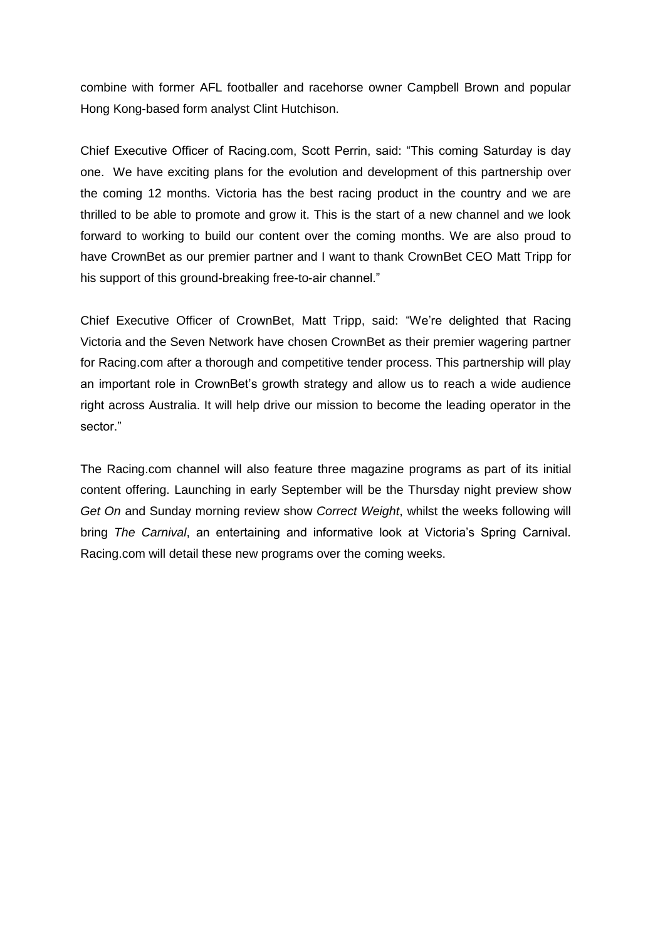combine with former AFL footballer and racehorse owner Campbell Brown and popular Hong Kong-based form analyst Clint Hutchison.

Chief Executive Officer of Racing.com, Scott Perrin, said: "This coming Saturday is day one. We have exciting plans for the evolution and development of this partnership over the coming 12 months. Victoria has the best racing product in the country and we are thrilled to be able to promote and grow it. This is the start of a new channel and we look forward to working to build our content over the coming months. We are also proud to have CrownBet as our premier partner and I want to thank CrownBet CEO Matt Tripp for his support of this ground-breaking free-to-air channel."

Chief Executive Officer of CrownBet, Matt Tripp, said: "We're delighted that Racing Victoria and the Seven Network have chosen CrownBet as their premier wagering partner for Racing.com after a thorough and competitive tender process. This partnership will play an important role in CrownBet's growth strategy and allow us to reach a wide audience right across Australia. It will help drive our mission to become the leading operator in the sector."

The Racing.com channel will also feature three magazine programs as part of its initial content offering. Launching in early September will be the Thursday night preview show *Get On* and Sunday morning review show *Correct Weight*, whilst the weeks following will bring *The Carnival*, an entertaining and informative look at Victoria's Spring Carnival. Racing.com will detail these new programs over the coming weeks.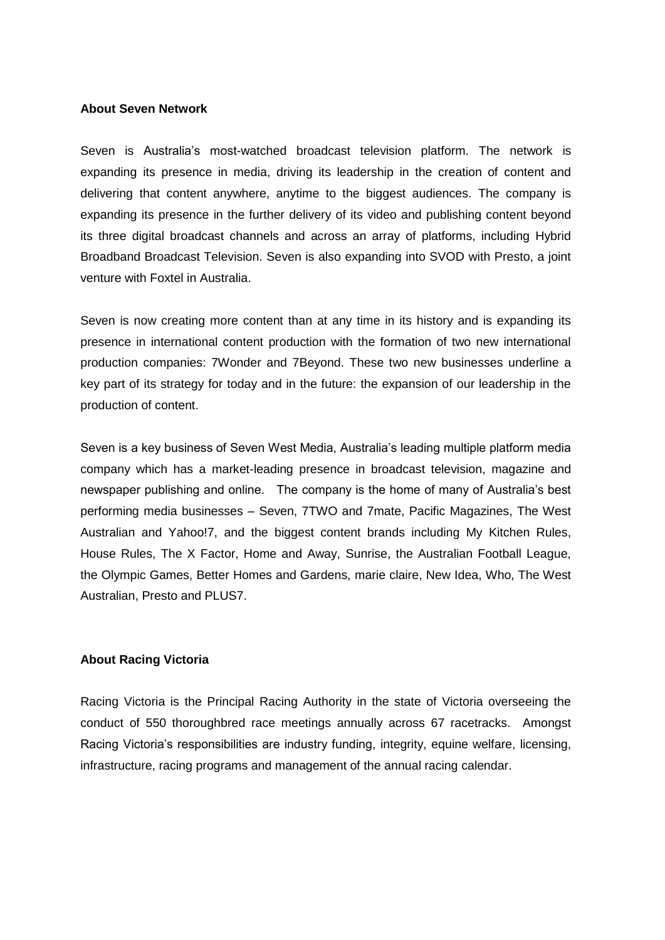## **About Seven Network**

Seven is Australia's most-watched broadcast television platform. The network is expanding its presence in media, driving its leadership in the creation of content and delivering that content anywhere, anytime to the biggest audiences. The company is expanding its presence in the further delivery of its video and publishing content beyond its three digital broadcast channels and across an array of platforms, including Hybrid Broadband Broadcast Television. Seven is also expanding into SVOD with Presto, a joint venture with Foxtel in Australia.

Seven is now creating more content than at any time in its history and is expanding its presence in international content production with the formation of two new international production companies: 7Wonder and 7Beyond. These two new businesses underline a key part of its strategy for today and in the future: the expansion of our leadership in the production of content.

Seven is a key business of Seven West Media, Australia's leading multiple platform media company which has a market-leading presence in broadcast television, magazine and newspaper publishing and online. The company is the home of many of Australia's best performing media businesses – Seven, 7TWO and 7mate, Pacific Magazines, The West Australian and Yahoo!7, and the biggest content brands including My Kitchen Rules, House Rules, The X Factor, Home and Away, Sunrise, the Australian Football League, the Olympic Games, Better Homes and Gardens, marie claire, New Idea, Who, The West Australian, Presto and PLUS7.

## **About Racing Victoria**

Racing Victoria is the Principal Racing Authority in the state of Victoria overseeing the conduct of 550 thoroughbred race meetings annually across 67 racetracks. Amongst Racing Victoria's responsibilities are industry funding, integrity, equine welfare, licensing, infrastructure, racing programs and management of the annual racing calendar.